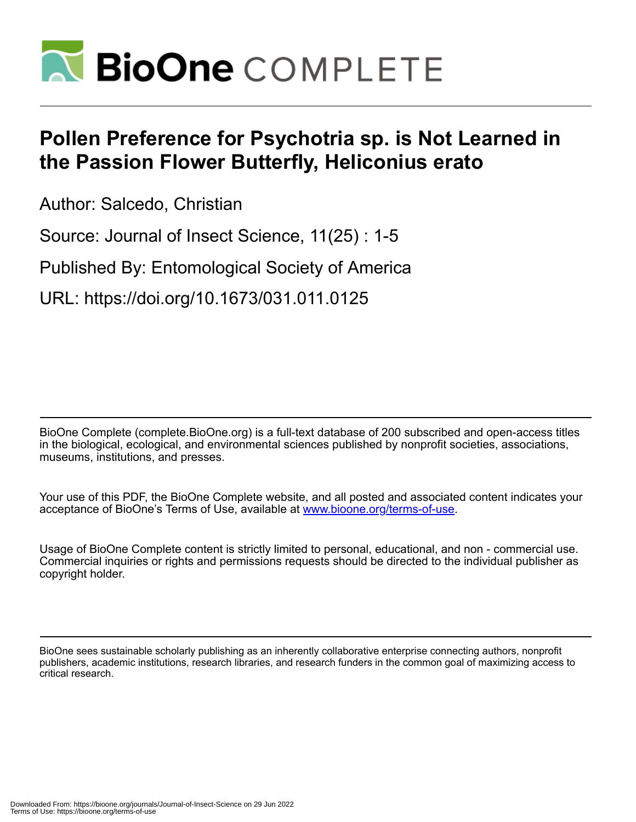

# **Pollen Preference for Psychotria sp. is Not Learned in the Passion Flower Butterfly, Heliconius erato**

Author: Salcedo, Christian

Source: Journal of Insect Science, 11(25) : 1-5

Published By: Entomological Society of America

URL: https://doi.org/10.1673/031.011.0125

BioOne Complete (complete.BioOne.org) is a full-text database of 200 subscribed and open-access titles in the biological, ecological, and environmental sciences published by nonprofit societies, associations, museums, institutions, and presses.

Your use of this PDF, the BioOne Complete website, and all posted and associated content indicates your acceptance of BioOne's Terms of Use, available at www.bioone.org/terms-of-use.

Usage of BioOne Complete content is strictly limited to personal, educational, and non - commercial use. Commercial inquiries or rights and permissions requests should be directed to the individual publisher as copyright holder.

BioOne sees sustainable scholarly publishing as an inherently collaborative enterprise connecting authors, nonprofit publishers, academic institutions, research libraries, and research funders in the common goal of maximizing access to critical research.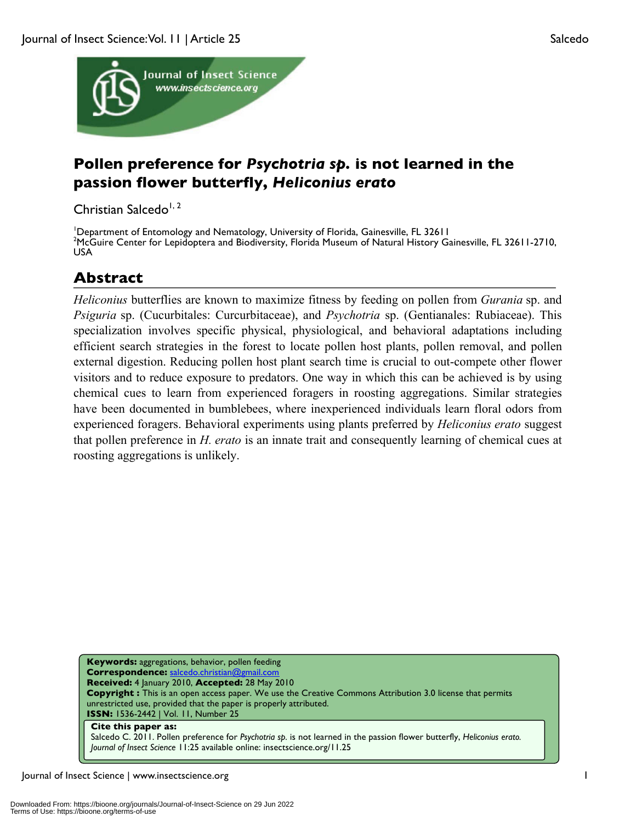

## **Pollen preference for** *Psychotria sp.* **is not learned in the passion flower butterfly,** *Heliconius erato*

Christian Salcedo<sup>1, 2</sup>

<sup>1</sup>Department of Entomology and Nematology, University of Florida, Gainesville, FL 32611<br><sup>2</sup>McGuire Conter for Lepidoptera and Biodiversity, Florida Museum of Natural History G McGuire Center for Lepidoptera and Biodiversity, Florida Museum of Natural History Gainesville, FL 32611-2710, USA

# **Abstract**

*Heliconius* butterflies are known to maximize fitness by feeding on pollen from *Gurania* sp. and *Psiguria* sp. (Cucurbitales: Curcurbitaceae), and *Psychotria* sp. (Gentianales: Rubiaceae). This specialization involves specific physical, physiological, and behavioral adaptations including efficient search strategies in the forest to locate pollen host plants, pollen removal, and pollen external digestion. Reducing pollen host plant search time is crucial to out-compete other flower visitors and to reduce exposure to predators. One way in which this can be achieved is by using chemical cues to learn from experienced foragers in roosting aggregations. Similar strategies have been documented in bumblebees, where inexperienced individuals learn floral odors from experienced foragers. Behavioral experiments using plants preferred by *Heliconius erato* suggest that pollen preference in *H. erato* is an innate trait and consequently learning of chemical cues at roosting aggregations is unlikely.

**Keywords:** aggregations, behavior, pollen feeding **Correspondence:** salcedo.christian@gmail.com **Received:** 4 January 2010, **Accepted:** 28 May 2010 **Copyright :** This is an open access paper. We use the Creative Commons Attribution 3.0 license that permits unrestricted use, provided that the paper is properly attributed. **ISSN:** 1536-2442 | Vol. 11, Number 25 **Cite this paper as:**

Salcedo C. 2011. Pollen preference for *Psychotria sp.* is not learned in the passion flower butterfly, *Heliconius erato. Journal of Insect Science* 11:25 available online: insectscience.org/11.25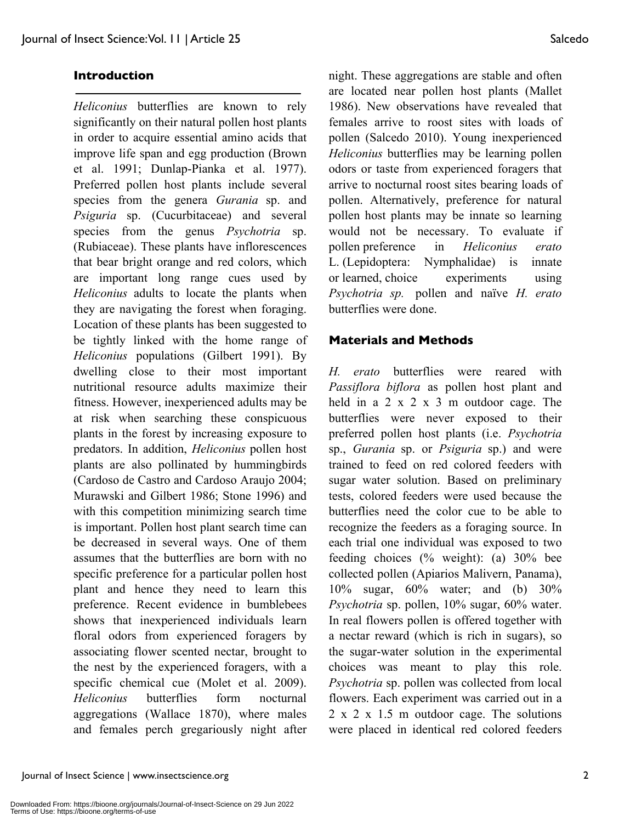#### **Introduction**

*Heliconius* butterflies are known to rely significantly on their natural pollen host plants in order to acquire essential amino acids that improve life span and egg production (Brown et al. 1991; Dunlap-Pianka et al. 1977). Preferred pollen host plants include several species from the genera *Gurania* sp. and *Psiguria* sp. (Cucurbitaceae) and several species from the genus *Psychotria* sp. (Rubiaceae). These plants have inflorescences that bear bright orange and red colors, which are important long range cues used by *Heliconius* adults to locate the plants when they are navigating the forest when foraging. Location of these plants has been suggested to be tightly linked with the home range of *Heliconius* populations (Gilbert 1991). By dwelling close to their most important nutritional resource adults maximize their fitness. However, inexperienced adults may be at risk when searching these conspicuous plants in the forest by increasing exposure to predators. In addition, *Heliconius* pollen host plants are also pollinated by hummingbirds (Cardoso de Castro and Cardoso Araujo 2004; Murawski and Gilbert 1986; Stone 1996) and with this competition minimizing search time is important. Pollen host plant search time can be decreased in several ways. One of them assumes that the butterflies are born with no specific preference for a particular pollen host plant and hence they need to learn this preference. Recent evidence in bumblebees shows that inexperienced individuals learn floral odors from experienced foragers by associating flower scented nectar, brought to the nest by the experienced foragers, with a specific chemical cue (Molet et al. 2009). *Heliconius* butterflies form nocturnal aggregations (Wallace 1870), where males and females perch gregariously night after night. These aggregations are stable and often are located near pollen host plants (Mallet 1986). New observations have revealed that females arrive to roost sites with loads of pollen (Salcedo 2010). Young inexperienced *Heliconius* butterflies may be learning pollen odors or taste from experienced foragers that arrive to nocturnal roost sites bearing loads of pollen. Alternatively, preference for natural pollen host plants may be innate so learning would not be necessary. To evaluate if pollen preference in *Heliconius erato*  L. (Lepidoptera: Nymphalidae) is innate or learned, choice experiments using *Psychotria sp.* pollen and naïve *H. erato* butterflies were done.

#### **Materials and Methods**

*H. erato* butterflies were reared with *Passiflora biflora* as pollen host plant and held in a 2 x 2 x 3 m outdoor cage. The butterflies were never exposed to their preferred pollen host plants (i.e. *Psychotria* sp., *Gurania* sp. or *Psiguria* sp.) and were trained to feed on red colored feeders with sugar water solution. Based on preliminary tests, colored feeders were used because the butterflies need the color cue to be able to recognize the feeders as a foraging source. In each trial one individual was exposed to two feeding choices (% weight): (a) 30% bee collected pollen (Apiarios Malivern, Panama), 10% sugar, 60% water; and (b) 30% *Psychotria* sp. pollen, 10% sugar, 60% water. In real flowers pollen is offered together with a nectar reward (which is rich in sugars), so the sugar-water solution in the experimental choices was meant to play this role. *Psychotria* sp. pollen was collected from local flowers. Each experiment was carried out in a 2 x 2 x 1.5 m outdoor cage. The solutions were placed in identical red colored feeders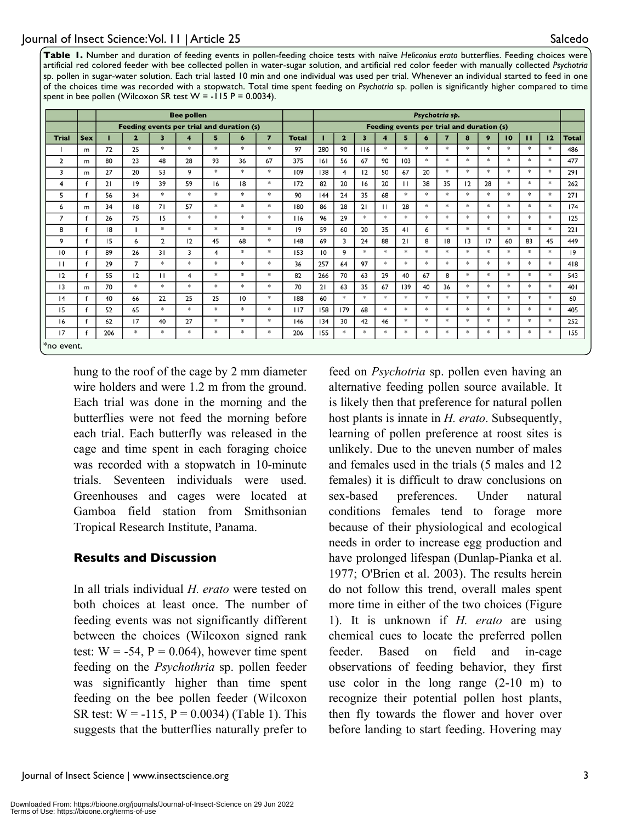**Table 1.** Number and duration of feeding events in pollen-feeding choice tests with naïve *Heliconius erato* butterflies. Feeding choices were artificial red colored feeder with bee collected pollen in water-sugar solution, and artificial red color feeder with manually collected *Psychotria* sp. pollen in sugar-water solution. Each trial lasted 10 min and one individual was used per trial. Whenever an individual started to feed in one of the choices time was recorded with a stopwatch. Total time spent feeding on *Psychotria* sp. pollen is significantly higher compared to time spent in bee pollen (Wilcoxon SR test  $W = -115 P = 0.0034$ ).

|                |              | <b>Bee pollen</b>                         |                         |                |                         |        |               |                |              | Psychotria sp.                            |                |                         |               |                |               |                |               |                |               |               |                |              |
|----------------|--------------|-------------------------------------------|-------------------------|----------------|-------------------------|--------|---------------|----------------|--------------|-------------------------------------------|----------------|-------------------------|---------------|----------------|---------------|----------------|---------------|----------------|---------------|---------------|----------------|--------------|
|                |              | Feeding events per trial and duration (s) |                         |                |                         |        |               |                |              | Feeding events per trial and duration (s) |                |                         |               |                |               |                |               |                |               |               |                |              |
| <b>Trial</b>   | <b>Sex</b>   | п                                         | $\overline{\mathbf{2}}$ | 3              | $\overline{\mathbf{4}}$ | 5      | 6             | $\overline{7}$ | <b>Total</b> |                                           | $\overline{2}$ | $\overline{\mathbf{3}}$ | 4             | 5              | 6             | $\overline{ }$ | 8             | 9              | 10            | $\mathbf{H}$  | 12             | <b>Total</b> |
|                | m            | 72                                        | 25                      | $\gg$          | $\frac{1}{2}$           | $\ast$ | $\ast$        | $*$            | 97           | 280                                       | 90             | 116                     | $\frac{1}{2}$ | $*$            | $\ast$        | $\ast$         | $\frac{1}{2}$ | $*$            | $*$           | $\gg$         | $\ast$         | 486          |
| $\overline{2}$ | m            | 80                                        | 23                      | 48             | 28                      | 93     | 36            | 67             | 375          | 6                                         | 56             | 67                      | 90            | 103            | $\gg$         | $\ast$         | $\frac{1}{2}$ | $\frac{1}{26}$ | $\frac{1}{2}$ | *             | $*$            | 477          |
| 3              | m            | 27                                        | 20                      | 53             | 9                       | $*$    | $*$           | $*$            | 109          | 138                                       | 4              | 12                      | 50            | 67             | 20            | *              | *             | $*$            | $*$           | $*$           | $*$            | 291          |
| 4              | f            | 21                                        | $ 9\rangle$             | 39             | 59                      | 16     | 18            | $*$            | 172          | 82                                        | 20             | 16                      | 20            | $\mathbf{H}$   | 38            | 35             | 12            | 28             | $*$           | $*$           | $\ast$         | 262          |
| 5              |              | 56                                        | 34                      | $*$            | $*$                     | $\ast$ | $*$           | $*$            | 90           | 44                                        | 24             | 35                      | 68            | $*$            | $*$           | $\ast$         | $*$           | $*$            | $\ast$        | $\mathcal{R}$ | $\ast$         | 271          |
| 6              | m            | 34                                        | 18                      | 71             | 57                      | $\ast$ | $\ast$        | $\ast$         | 180          | 86                                        | 28             | 21                      | П             | 28             | $\ast$        | $*$            | $*$           | $\ast$         | $*$           | $*$           | $\ast$         | 174          |
| $\overline{7}$ |              | 26                                        | 75                      | 15             | $*$                     | $\ast$ | $\frac{1}{2}$ | $\ast$         | 116          | 96                                        | 29             | $*$                     | $\frac{1}{2}$ | $\frac{1}{26}$ | $\gg$         | $\ast$         | $\frac{1}{2}$ | $\gg$          | $\ast$        | $\frac{1}{2}$ | $\gg$          | 125          |
| 8              |              | 18                                        |                         | $*$            | *                       | $\ast$ | $\ast$        | $\ast$         | 19           | 59                                        | 60             | 20                      | 35            | 41             | 6             | *              | $*$           | $\frac{1}{2}$  | $\ast$        | $*$           | $\ast$         | 221          |
| 9              |              | 15                                        | 6                       | $\overline{2}$ | 12                      | 45     | 68            | $*$            | 148          | 69                                        | 3              | 24                      | 88            | 21             | 8             | 8              | 13            | 17             | 60            | 83            | 45             | 449          |
| 10             |              | 89                                        | 26                      | 31             | 3                       | 4      | $*$           | $*$            | 153          | 10                                        | 9              | $*$                     | $\ast$        | $*$            | $\ast$        | $\ast$         | $\ast$        | $*$            | $*$           | $*$           | $\ast$         | 19           |
| $\mathbf{H}$   | $\mathbf{f}$ | 29                                        | $\overline{7}$          | $\ast$         | $\ast$                  | $\ast$ | $\ast$        | $\ast$         | 36           | 257                                       | 64             | 97                      | *             | $*$            | $\ast$        | $\ast$         | $*$           | $\ast$         | $*$           | $*$           | $\ast$         | 418          |
| 12             |              | 55                                        | 12                      | П              | 4                       | $*$    | $\ast$        | $*$            | 82           | 266                                       | 70             | 63                      | 29            | 40             | 67            | 8              | $\ast$        | $\ast$         | $\ast$        | $\ast$        | $\ast$         | 543          |
| 13             | m            | 70                                        | $*$                     | $*$            | $\frac{1}{2}$           | $*$    | $*$           | $*$            | 70           | 21                                        | 63             | 35                      | 67            | 139            | 40            | 36             | $\frac{1}{2}$ | $\ast$         | $*$           | $*$           | $*$            | 401          |
| 4              | $\mathbf{f}$ | 40                                        | 66                      | 22             | 25                      | 25     | 10            | $*$            | 188          | 60                                        | $\ast$         | $*$                     | $*$           | $*$            | $\frac{1}{2}$ | $\frac{1}{2}$  | $*$           | $*$            | $\ast$        | $*$           | $\frac{1}{25}$ | 60           |
| 15             | f            | 52                                        | 65                      | $\ast$         | $*$                     | $\ast$ | $\ast$        | $\ast$         | 117          | 158                                       | 179            | 68                      | $*$           | $*$            | $\ast$        | $*$            | $*$           | $\ast$         | $*$           | $*$           | $\ast$         | 405          |
| 16             | $\mathsf{f}$ | 62                                        | 17                      | 40             | 27                      | $\ast$ | $\ast$        | $\ast$         | 146          | 134                                       | 30             | 42                      | 46            | $\ast$         | $\ast$        | $\frac{1}{2}$  | $\cdot$       | $\gg$          | $\ast$        | $\ast$        | $\ast$         | 252          |
| 17             |              | 206                                       | $\ast$                  | $\ast$         | $\ast$                  | *      | *             | $\ast$         | 206          | 155                                       | *              | $\ast$                  | $\ast$        | *              | *             | *              | *             | *              | *             | *             | *              | 155          |
| *no event.     |              |                                           |                         |                |                         |        |               |                |              |                                           |                |                         |               |                |               |                |               |                |               |               |                |              |

hung to the roof of the cage by 2 mm diameter wire holders and were 1.2 m from the ground. Each trial was done in the morning and the butterflies were not feed the morning before each trial. Each butterfly was released in the cage and time spent in each foraging choice was recorded with a stopwatch in 10-minute trials. Seventeen individuals were used. Greenhouses and cages were located at Gamboa field station from Smithsonian Tropical Research Institute, Panama.

### **Results and Discussion**

In all trials individual *H. erato* were tested on both choices at least once. The number of feeding events was not significantly different between the choices (Wilcoxon signed rank test:  $W = -54$ ,  $P = 0.064$ ), however time spent feeding on the *Psychothria* sp. pollen feeder was significantly higher than time spent feeding on the bee pollen feeder (Wilcoxon SR test:  $W = -115$ ,  $P = 0.0034$ ) (Table 1). This suggests that the butterflies naturally prefer to

feed on *Psychotria* sp. pollen even having an alternative feeding pollen source available. It is likely then that preference for natural pollen host plants is innate in *H. erato*. Subsequently, learning of pollen preference at roost sites is unlikely. Due to the uneven number of males and females used in the trials (5 males and 12 females) it is difficult to draw conclusions on sex-based preferences. Under natural conditions females tend to forage more because of their physiological and ecological needs in order to increase egg production and have prolonged lifespan (Dunlap-Pianka et al. 1977; O'Brien et al. 2003). The results herein do not follow this trend, overall males spent more time in either of the two choices (Figure 1). It is unknown if *H. erato* are using chemical cues to locate the preferred pollen feeder. Based on field and in-cage observations of feeding behavior, they first use color in the long range (2-10 m) to recognize their potential pollen host plants, then fly towards the flower and hover over before landing to start feeding. Hovering may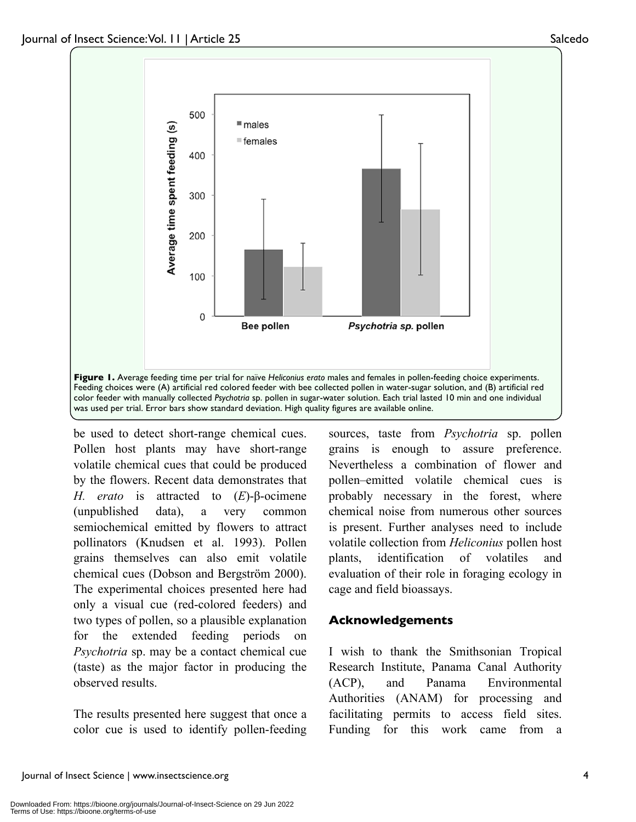

be used to detect short-range chemical cues. Pollen host plants may have short-range volatile chemical cues that could be produced by the flowers. Recent data demonstrates that *H. erato* is attracted to (*E*)-β-ocimene (unpublished data), a very common semiochemical emitted by flowers to attract pollinators (Knudsen et al. 1993). Pollen grains themselves can also emit volatile chemical cues (Dobson and Bergström 2000). The experimental choices presented here had only a visual cue (red-colored feeders) and two types of pollen, so a plausible explanation for the extended feeding periods on *Psychotria* sp. may be a contact chemical cue (taste) as the major factor in producing the observed results.

The results presented here suggest that once a color cue is used to identify pollen-feeding sources, taste from *Psychotria* sp. pollen grains is enough to assure preference. Nevertheless a combination of flower and pollen–emitted volatile chemical cues is probably necessary in the forest, where chemical noise from numerous other sources is present. Further analyses need to include volatile collection from *Heliconius* pollen host plants, identification of volatiles and evaluation of their role in foraging ecology in cage and field bioassays.

### **Acknowledgements**

I wish to thank the Smithsonian Tropical Research Institute, Panama Canal Authority (ACP), and Panama Environmental Authorities (ANAM) for processing and facilitating permits to access field sites. Funding for this work came from a